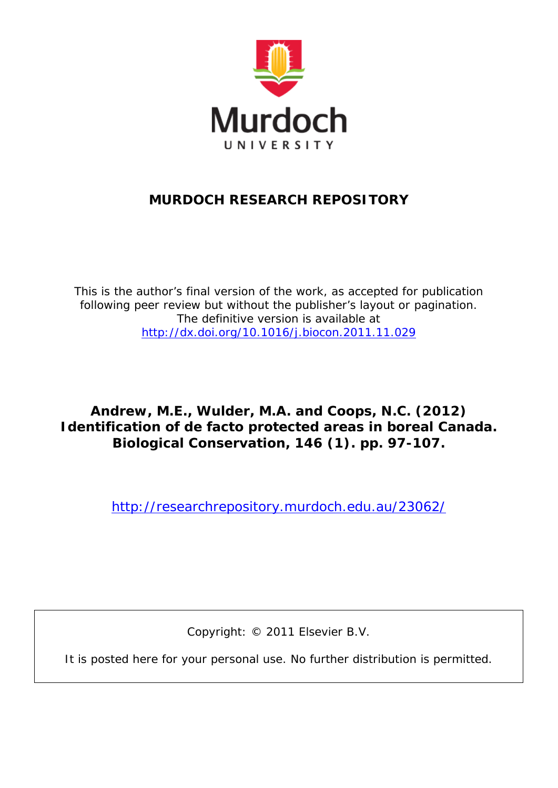

# **MURDOCH RESEARCH REPOSITORY**

*This is the author's final version of the work, as accepted for publication following peer review but without the publisher's layout or pagination. The definitive version is available at <http://dx.doi.org/10.1016/j.biocon.2011.11.029>*

**Andrew, M.E., Wulder, M.A. and Coops, N.C. (2012) Identification of de facto protected areas in boreal Canada. Biological Conservation, 146 (1). pp. 97-107.**

<http://researchrepository.murdoch.edu.au/23062/>

Copyright: © 2011 Elsevier B.V.

It is posted here for your personal use. No further distribution is permitted.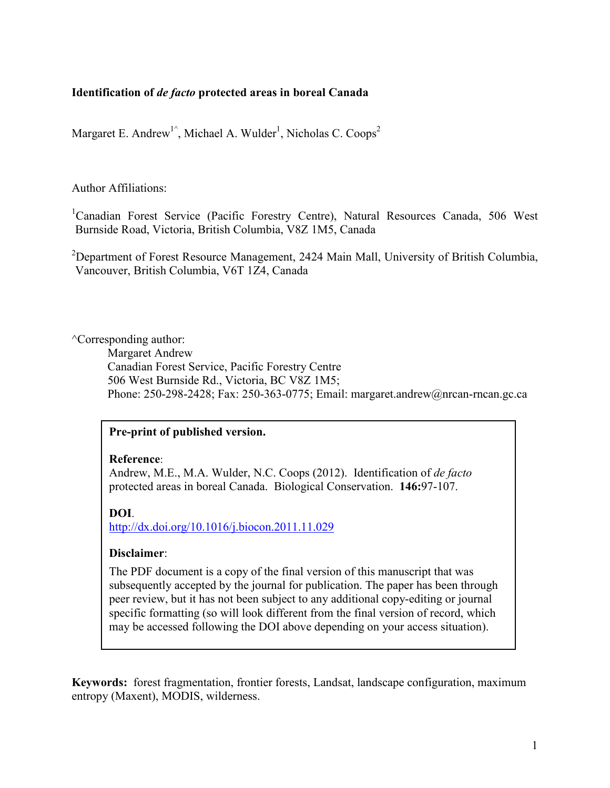## Identification of *de facto* protected areas in boreal Canada

Margaret E. Andrew<sup>1</sup><sup>^</sup>, Michael A. Wulder<sup>1</sup>, Nicholas C. Coops<sup>2</sup>

## **Author Affiliations:**

<sup>1</sup>Canadian Forest Service (Pacific Forestry Centre), Natural Resources Canada, 506 West Burnside Road, Victoria, British Columbia, V8Z 1M5, Canada

<sup>2</sup>Department of Forest Resource Management, 2424 Main Mall, University of British Columbia, Vancouver, British Columbia, V6T 1Z4, Canada

"Corresponding author:

**Margaret Andrew** Canadian Forest Service, Pacific Forestry Centre 506 West Burnside Rd., Victoria, BC V8Z 1M5; Phone: 250-298-2428; Fax: 250-363-0775; Email: margaret.andrew@nrcan-rncan.gc.ca

## Pre-print of published version.

## Reference:

Andrew, M.E., M.A. Wulder, N.C. Coops (2012). Identification of de facto protected areas in boreal Canada. Biological Conservation. 146:97-107.

## DOI

http://dx.doi.org/10.1016/j.biocon.2011.11.029

## Disclaimer:

The PDF document is a copy of the final version of this manuscript that was subsequently accepted by the journal for publication. The paper has been through peer review, but it has not been subject to any additional copy-editing or journal specific formatting (so will look different from the final version of record, which may be accessed following the DOI above depending on your access situation).

**Keywords:** forest fragmentation, frontier forests, Landsat, landscape configuration, maximum entropy (Maxent), MODIS, wilderness.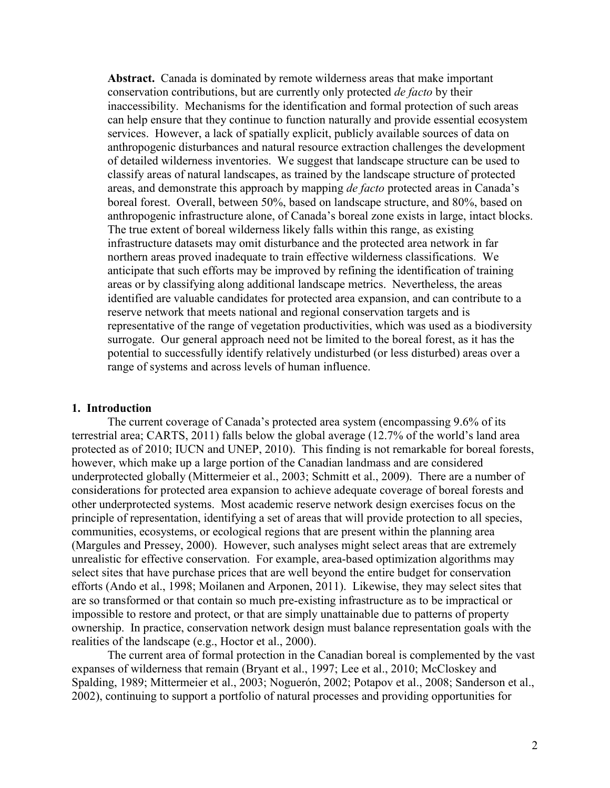**Abstract.** Canada is dominated by remote wilderness areas that make important conservation contributions, but are currently only protected *de facto* by their inaccessibility. Mechanisms for the identification and formal protection of such areas can help ensure that they continue to function naturally and provide essential ecosystem services. However, a lack of spatially explicit, publicly available sources of data on anthropogenic disturbances and natural resource extraction challenges the development of detailed wilderness inventories. We suggest that landscape structure can be used to classify areas of natural landscapes, as trained by the landscape structure of protected areas, and demonstrate this approach by mapping *de facto* protected areas in Canada's boreal forest. Overall, between 50%, based on landscape structure, and 80%, based on anthropogenic infrastructure alone, of Canada's boreal zone exists in large, intact blocks. The true extent of boreal wilderness likely falls within this range, as existing infrastructure datasets may omit disturbance and the protected area network in far northern areas proved inadequate to train effective wilderness classifications. We anticipate that such efforts may be improved by refining the identification of training areas or by classifying along additional landscape metrics. Nevertheless, the areas identified are valuable candidates for protected area expansion, and can contribute to a reserve network that meets national and regional conservation targets and is representative of the range of vegetation productivities, which was used as a biodiversity surrogate. Our general approach need not be limited to the boreal forest, as it has the potential to successfully identify relatively undisturbed (or less disturbed) areas over a range of systems and across levels of human influence.

#### 1. Introduction

The current coverage of Canada's protected area system (encompassing 9.6% of its terrestrial area; CARTS, 2011) falls below the global average (12.7% of the world's land area protected as of 2010; IUCN and UNEP, 2010). This finding is not remarkable for boreal forests, however, which make up a large portion of the Canadian landmass and are considered underprotected globally (Mittermeier et al., 2003; Schmitt et al., 2009). There are a number of considerations for protected area expansion to achieve adequate coverage of boreal forests and other underprotected systems. Most academic reserve network design exercises focus on the principle of representation, identifying a set of areas that will provide protection to all species, communities, ecosystems, or ecological regions that are present within the planning area (Margules and Pressey, 2000). However, such analyses might select areas that are extremely unrealistic for effective conservation. For example, area-based optimization algorithms may select sites that have purchase prices that are well beyond the entire budget for conservation efforts (Ando et al., 1998; Moilanen and Arponen, 2011). Likewise, they may select sites that are so transformed or that contain so much pre-existing infrastructure as to be impractical or impossible to restore and protect, or that are simply unattainable due to patterns of property ownership. In practice, conservation network design must balance representation goals with the realities of the landscape (e.g., Hoctor et al., 2000).

The current area of formal protection in the Canadian boreal is complemented by the vast expanses of wilderness that remain (Bryant et al., 1997; Lee et al., 2010; McCloskey and Spalding, 1989; Mittermeier et al., 2003; Noguerón, 2002; Potapov et al., 2008; Sanderson et al., 2002), continuing to support a portfolio of natural processes and providing opportunities for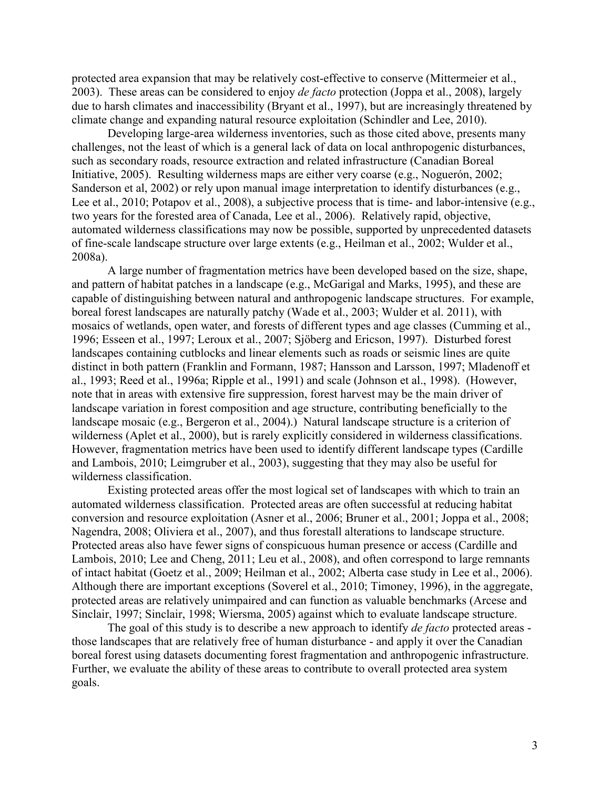protected area expansion that may be relatively cost-effective to conserve (Mittermeier et al., 2003). These areas can be considered to enjoy *de facto* protection (Joppa et al., 2008), largely due to harsh climates and inaccessibility (Bryant et al., 1997), but are increasingly threatened by climate change and expanding natural resource exploitation (Schindler and Lee, 2010).

Developing large-area wilderness inventories, such as those cited above, presents many challenges, not the least of which is a general lack of data on local anthropogenic disturbances, such as secondary roads, resource extraction and related infrastructure (Canadian Boreal Initiative, 2005). Resulting wilderness maps are either very coarse (e.g., Noguerón, 2002; Sanderson et al. 2002) or rely upon manual image interpretation to identify disturbances (e.g., Lee et al., 2010; Potapov et al., 2008), a subjective process that is time- and labor-intensive (e.g., two years for the forested area of Canada, Lee et al., 2006). Relatively rapid, objective, automated wilderness classifications may now be possible, supported by unprecedented datasets of fine-scale landscape structure over large extents (e.g., Heilman et al., 2002; Wulder et al.,  $2008a$ ).

A large number of fragmentation metrics have been developed based on the size, shape, and pattern of habitat patches in a landscape (e.g., McGarigal and Marks, 1995), and these are capable of distinguishing between natural and anthropogenic landscape structures. For example, boreal forest landscapes are naturally patchy (Wade et al., 2003; Wulder et al. 2011), with mosaics of wetlands, open water, and forests of different types and age classes (Cumming et al., 1996; Esseen et al., 1997; Leroux et al., 2007; Sjöberg and Ericson, 1997). Disturbed forest landscapes containing cutblocks and linear elements such as roads or seismic lines are quite distinct in both pattern (Franklin and Formann, 1987; Hansson and Larsson, 1997; Mladenoff et al., 1993; Reed et al., 1996a; Ripple et al., 1991) and scale (Johnson et al., 1998). (However, note that in areas with extensive fire suppression, forest harvest may be the main driver of landscape variation in forest composition and age structure, contributing beneficially to the landscape mosaic (e.g., Bergeron et al., 2004).) Natural landscape structure is a criterion of wilderness (Aplet et al., 2000), but is rarely explicitly considered in wilderness classifications. However, fragmentation metrics have been used to identify different landscape types (Cardille) and Lambois, 2010; Leimgruber et al., 2003), suggesting that they may also be useful for wilderness classification.

Existing protected areas offer the most logical set of landscapes with which to train an automated wilderness classification. Protected areas are often successful at reducing habitat conversion and resource exploitation (Asner et al., 2006; Bruner et al., 2001; Joppa et al., 2008; Nagendra, 2008; Oliviera et al., 2007), and thus forestall alterations to landscape structure. Protected areas also have fewer signs of conspicuous human presence or access (Cardille and Lambois, 2010; Lee and Cheng, 2011; Leu et al., 2008), and often correspond to large remnants of intact habitat (Goetz et al., 2009; Heilman et al., 2002; Alberta case study in Lee et al., 2006). Although there are important exceptions (Soverel et al., 2010; Timoney, 1996), in the aggregate, protected areas are relatively unimpaired and can function as valuable benchmarks (Arcese and Sinclair, 1997; Sinclair, 1998; Wiersma, 2005) against which to evaluate landscape structure.

The goal of this study is to describe a new approach to identify *de facto* protected areas those landscapes that are relatively free of human disturbance - and apply it over the Canadian boreal forest using datasets documenting forest fragmentation and anthropogenic infrastructure. Further, we evaluate the ability of these areas to contribute to overall protected area system goals.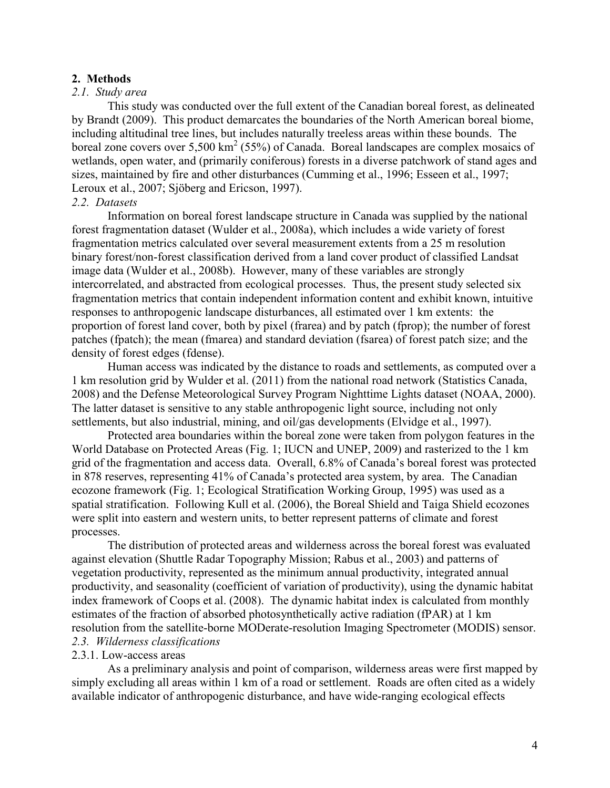#### 2. Methods

#### 2.1. Study area

This study was conducted over the full extent of the Canadian boreal forest, as delineated by Brandt (2009). This product demarcates the boundaries of the North American boreal biome, including altitudinal tree lines, but includes naturally treeless areas within these bounds. The boreal zone covers over  $5{,}500 \text{ km}^2$  (55%) of Canada. Boreal landscapes are complex mosaics of wetlands, open water, and (primarily coniferous) forests in a diverse patchwork of stand ages and sizes, maintained by fire and other disturbances (Cumming et al., 1996; Esseen et al., 1997; Leroux et al., 2007; Siöberg and Ericson, 1997).

#### 2.2. Datasets

Information on boreal forest landscape structure in Canada was supplied by the national forest fragmentation dataset (Wulder et al., 2008a), which includes a wide variety of forest fragmentation metrics calculated over several measurement extents from a 25 m resolution binary forest/non-forest classification derived from a land cover product of classified Landsat image data (Wulder et al., 2008b). However, many of these variables are strongly intercorrelated, and abstracted from ecological processes. Thus, the present study selected six fragmentation metrics that contain independent information content and exhibit known, intuitive responses to anthropogenic landscape disturbances, all estimated over 1 km extents: the proportion of forest land cover, both by pixel (frarea) and by patch (fprop); the number of forest patches (fpatch); the mean (fmarea) and standard deviation (fsarea) of forest patch size; and the density of forest edges (fdense).

Human access was indicated by the distance to roads and settlements, as computed over a 1 km resolution grid by Wulder et al. (2011) from the national road network (Statistics Canada, 2008) and the Defense Meteorological Survey Program Nighttime Lights dataset (NOAA, 2000). The latter dataset is sensitive to any stable anthropogenic light source, including not only settlements, but also industrial, mining, and oil/gas developments (Elvidge et al., 1997).

Protected area boundaries within the boreal zone were taken from polygon features in the World Database on Protected Areas (Fig. 1; IUCN and UNEP, 2009) and rasterized to the 1 km grid of the fragmentation and access data. Overall, 6.8% of Canada's boreal forest was protected in 878 reserves, representing 41% of Canada's protected area system, by area. The Canadian ecozone framework (Fig. 1; Ecological Stratification Working Group, 1995) was used as a spatial stratification. Following Kull et al. (2006), the Boreal Shield and Taiga Shield ecozones were split into eastern and western units, to better represent patterns of climate and forest processes.

The distribution of protected areas and wilderness across the boreal forest was evaluated against elevation (Shuttle Radar Topography Mission; Rabus et al., 2003) and patterns of vegetation productivity, represented as the minimum annual productivity, integrated annual productivity, and seasonality (coefficient of variation of productivity), using the dynamic habitat index framework of Coops et al. (2008). The dynamic habitat index is calculated from monthly estimates of the fraction of absorbed photosynthetically active radiation (fPAR) at 1 km resolution from the satellite-borne MODerate-resolution Imaging Spectrometer (MODIS) sensor.

## 2.3. Wilderness classifications

## 2.3.1. Low-access areas

As a preliminary analysis and point of comparison, wilderness areas were first mapped by simply excluding all areas within 1 km of a road or settlement. Roads are often cited as a widely available indicator of anthropogenic disturbance, and have wide-ranging ecological effects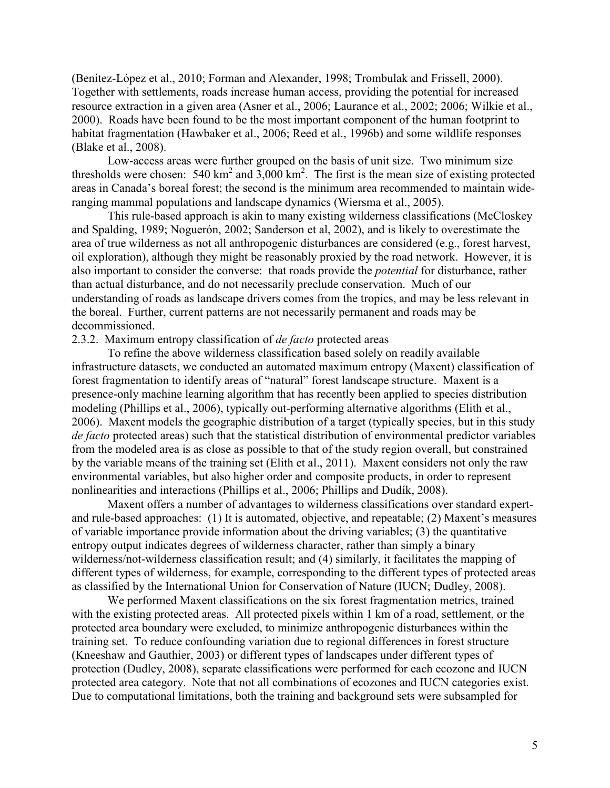(Benitez-López et al., 2010; Forman and Alexander, 1998; Trombulak and Frissell, 2000). Together with settlements, roads increase human access, providing the potential for increased resource extraction in a given area (Asner et al., 2006; Laurance et al., 2002; 2006; Wilkie et al., 2000). Roads have been found to be the most important component of the human footprint to habitat fragmentation (Hawbaker et al., 2006; Reed et al., 1996b) and some wildlife responses (Blake et al., 2008).

Low-access areas were further grouped on the basis of unit size. Two minimum size thresholds were chosen:  $540 \text{ km}^2$  and  $3,000 \text{ km}^2$ . The first is the mean size of existing protected areas in Canada's boreal forest; the second is the minimum area recommended to maintain wideranging mammal populations and landscape dynamics (Wiersma et al., 2005).

This rule-based approach is akin to many existing wilderness classifications (McCloskey and Spalding, 1989; Noguerón, 2002; Sanderson et al, 2002), and is likely to overestimate the area of true wilderness as not all anthropogenic disturbances are considered (e.g., forest harvest, oil exploration), although they might be reasonably proxied by the road network. However, it is also important to consider the converse: that roads provide the *potential* for disturbance, rather than actual disturbance, and do not necessarily preclude conservation. Much of our understanding of roads as landscape drivers comes from the tropics, and may be less relevant in the boreal. Further, current patterns are not necessarily permanent and roads may be decommissioned.

## 2.3.2. Maximum entropy classification of *de facto* protected areas

To refine the above wilderness classification based solely on readily available infrastructure datasets, we conducted an automated maximum entropy (Maxent) classification of forest fragmentation to identify areas of "natural" forest landscape structure. Maxent is a presence-only machine learning algorithm that has recently been applied to species distribution modeling (Phillips et al., 2006), typically out-performing alternative algorithms (Elith et al., 2006). Maxent models the geographic distribution of a target (typically species, but in this study *de facto* protected areas) such that the statistical distribution of environmental predictor variables from the modeled area is as close as possible to that of the study region overall, but constrained by the variable means of the training set (Elith et al., 2011). Maxent considers not only the raw environmental variables, but also higher order and composite products, in order to represent nonlinearities and interactions (Phillips et al., 2006; Phillips and Dudík, 2008).

Maxent offers a number of advantages to wilderness classifications over standard expertand rule-based approaches: (1) It is automated, objective, and repeatable; (2) Maxent's measures of variable importance provide information about the driving variables; (3) the quantitative entropy output indicates degrees of wilderness character, rather than simply a binary wilderness/not-wilderness classification result; and (4) similarly, it facilitates the mapping of different types of wilderness, for example, corresponding to the different types of protected areas as classified by the International Union for Conservation of Nature (IUCN; Dudley, 2008).

We performed Maxent classifications on the six forest fragmentation metrics, trained with the existing protected areas. All protected pixels within 1 km of a road, settlement, or the protected area boundary were excluded, to minimize anthropogenic disturbances within the training set. To reduce confounding variation due to regional differences in forest structure (Kneeshaw and Gauthier, 2003) or different types of landscapes under different types of protection (Dudley, 2008), separate classifications were performed for each ecozone and IUCN protected area category. Note that not all combinations of ecozones and IUCN categories exist. Due to computational limitations, both the training and background sets were subsampled for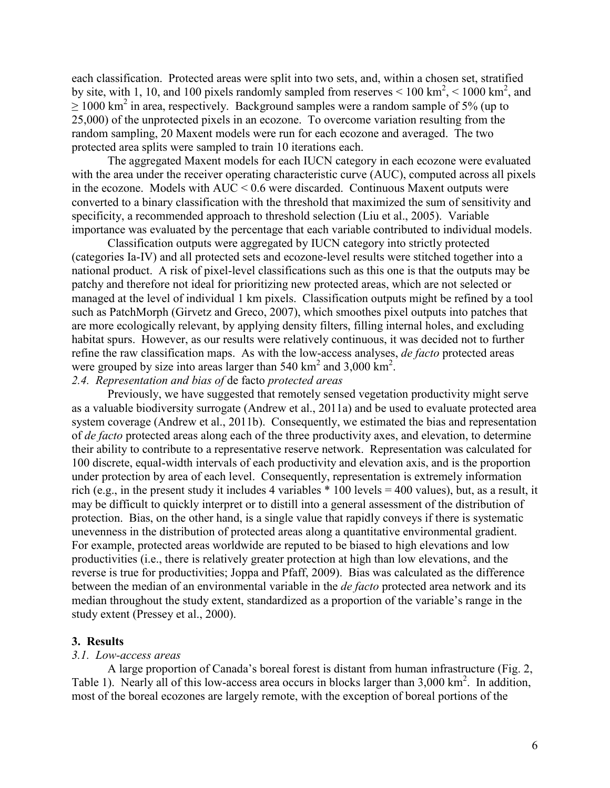each classification. Protected areas were split into two sets, and, within a chosen set, stratified by site, with 1, 10, and 100 pixels randomly sampled from reserves  $\leq 100 \text{ km}^2$ ,  $\leq 1000 \text{ km}^2$ , and  $\geq$  1000 km<sup>2</sup> in area, respectively. Background samples were a random sample of 5% (up to 25,000) of the unprotected pixels in an ecozone. To overcome variation resulting from the random sampling, 20 Maxent models were run for each ecozone and averaged. The two protected area splits were sampled to train 10 iterations each.

The aggregated Maxent models for each IUCN category in each ecozone were evaluated with the area under the receiver operating characteristic curve (AUC), computed across all pixels in the ecozone. Models with  $AUC < 0.6$  were discarded. Continuous Maxent outputs were converted to a binary classification with the threshold that maximized the sum of sensitivity and specificity, a recommended approach to threshold selection (Liu et al., 2005). Variable importance was evaluated by the percentage that each variable contributed to individual models.

Classification outputs were aggregated by IUCN category into strictly protected (categories Ia-IV) and all protected sets and ecozone-level results were stitched together into a national product. A risk of pixel-level classifications such as this one is that the outputs may be patchy and therefore not ideal for prioritizing new protected areas, which are not selected or managed at the level of individual 1 km pixels. Classification outputs might be refined by a tool such as PatchMorph (Girvetz and Greco, 2007), which smoothes pixel outputs into patches that are more ecologically relevant, by applying density filters, filling internal holes, and excluding habitat spurs. However, as our results were relatively continuous, it was decided not to further refine the raw classification maps. As with the low-access analyses, *de facto* protected areas were grouped by size into areas larger than 540  $\text{km}^2$  and 3,000  $\text{km}^2$ .

## 2.4. Representation and bias of de facto protected areas

Previously, we have suggested that remotely sensed vegetation productivity might serve as a valuable biodiversity surrogate (Andrew et al., 2011a) and be used to evaluate protected area system coverage (Andrew et al., 2011b). Consequently, we estimated the bias and representation of *de facto* protected areas along each of the three productivity axes, and elevation, to determine their ability to contribute to a representative reserve network. Representation was calculated for 100 discrete, equal-width intervals of each productivity and elevation axis, and is the proportion under protection by area of each level. Consequently, representation is extremely information rich (e.g., in the present study it includes 4 variables  $*$  100 levels = 400 values), but, as a result, it may be difficult to quickly interpret or to distill into a general assessment of the distribution of protection. Bias, on the other hand, is a single value that rapidly conveys if there is systematic unevenness in the distribution of protected areas along a quantitative environmental gradient. For example, protected areas worldwide are reputed to be biased to high elevations and low productivities (i.e., there is relatively greater protection at high than low elevations, and the reverse is true for productivities; Joppa and Pfaff, 2009). Bias was calculated as the difference between the median of an environmental variable in the *de facto* protected area network and its median throughout the study extent, standardized as a proportion of the variable's range in the study extent (Pressey et al., 2000).

#### 3. Results

#### 3.1. Low-access areas

A large proportion of Canada's boreal forest is distant from human infrastructure (Fig. 2, Table 1). Nearly all of this low-access area occurs in blocks larger than  $3,000 \text{ km}^2$ . In addition, most of the boreal ecozones are largely remote, with the exception of boreal portions of the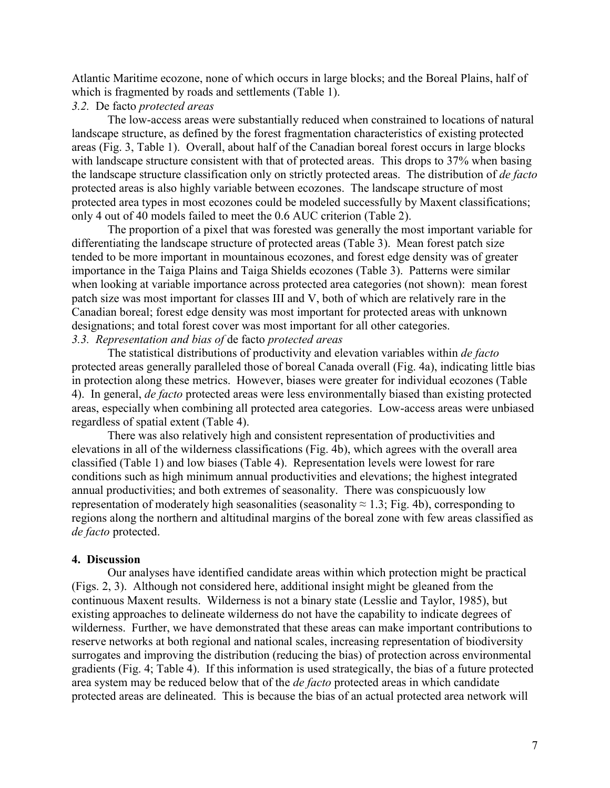Atlantic Maritime ecozone, none of which occurs in large blocks; and the Boreal Plains, half of which is fragmented by roads and settlements (Table 1).

#### 3.2. De facto protected areas

The low-access areas were substantially reduced when constrained to locations of natural landscape structure, as defined by the forest fragmentation characteristics of existing protected areas (Fig. 3, Table 1). Overall, about half of the Canadian boreal forest occurs in large blocks with landscape structure consistent with that of protected areas. This drops to 37% when basing the landscape structure classification only on strictly protected areas. The distribution of *de facto* protected areas is also highly variable between ecozones. The landscape structure of most protected area types in most ecozones could be modeled successfully by Maxent classifications; only 4 out of 40 models failed to meet the 0.6 AUC criterion (Table 2).

The proportion of a pixel that was forested was generally the most important variable for differentiating the landscape structure of protected areas (Table 3). Mean forest patch size tended to be more important in mountainous ecozones, and forest edge density was of greater importance in the Taiga Plains and Taiga Shields ecozones (Table 3). Patterns were similar when looking at variable importance across protected area categories (not shown): mean forest patch size was most important for classes III and V, both of which are relatively rare in the Canadian boreal; forest edge density was most important for protected areas with unknown designations; and total forest cover was most important for all other categories. 3.3. Representation and bias of de facto protected areas

The statistical distributions of productivity and elevation variables within *de facto* protected areas generally paralleled those of boreal Canada overall (Fig. 4a), indicating little bias in protection along these metrics. However, biases were greater for individual ecozones (Table 4). In general, *de facto* protected areas were less environmentally biased than existing protected areas, especially when combining all protected area categories. Low-access areas were unbiased regardless of spatial extent (Table 4).

There was also relatively high and consistent representation of productivities and elevations in all of the wilderness classifications (Fig. 4b), which agrees with the overall area classified (Table 1) and low biases (Table 4). Representation levels were lowest for rare conditions such as high minimum annual productivities and elevations; the highest integrated annual productivities; and both extremes of seasonality. There was conspicuously low representation of moderately high seasonalities (seasonality  $\approx 1.3$ ; Fig. 4b), corresponding to regions along the northern and altitudinal margins of the boreal zone with few areas classified as de facto protected.

#### 4. Discussion

Our analyses have identified candidate areas within which protection might be practical (Figs. 2, 3). Although not considered here, additional insight might be gleaned from the continuous Maxent results. Wilderness is not a binary state (Lesslie and Taylor, 1985), but existing approaches to delineate wilderness do not have the capability to indicate degrees of wilderness. Further, we have demonstrated that these areas can make important contributions to reserve networks at both regional and national scales, increasing representation of biodiversity surrogates and improving the distribution (reducing the bias) of protection across environmental gradients (Fig. 4; Table 4). If this information is used strategically, the bias of a future protected area system may be reduced below that of the *de facto* protected areas in which candidate protected areas are delineated. This is because the bias of an actual protected area network will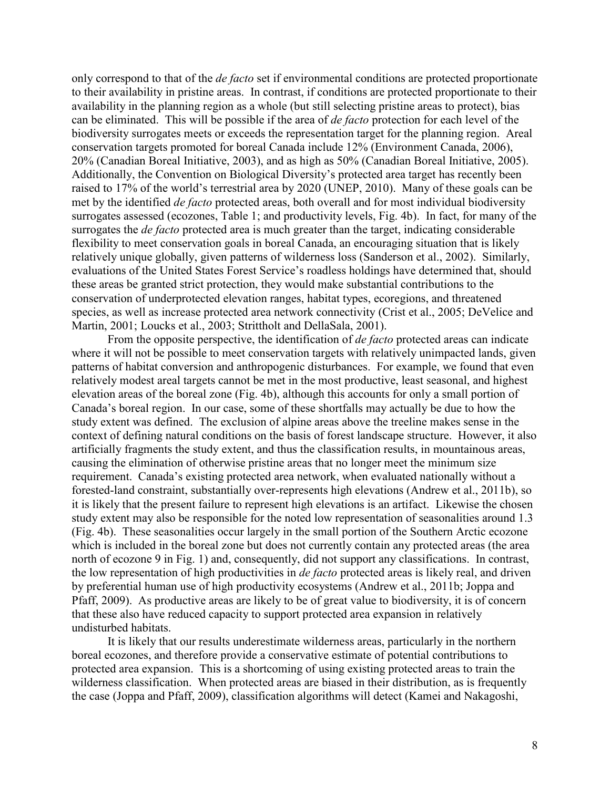only correspond to that of the *de facto* set if environmental conditions are protected proportionate to their availability in pristine areas. In contrast, if conditions are protected proportionate to their availability in the planning region as a whole (but still selecting pristine areas to protect), bias can be eliminated. This will be possible if the area of *de facto* protection for each level of the biodiversity surrogates meets or exceeds the representation target for the planning region. Areal conservation targets promoted for boreal Canada include 12% (Environment Canada, 2006), 20% (Canadian Boreal Initiative, 2003), and as high as 50% (Canadian Boreal Initiative, 2005). Additionally, the Convention on Biological Diversity's protected area target has recently been raised to 17% of the world's terrestrial area by 2020 (UNEP, 2010). Many of these goals can be met by the identified *de facto* protected areas, both overall and for most individual biodiversity surrogates assessed (ecozones, Table 1; and productivity levels, Fig. 4b). In fact, for many of the surrogates the *de facto* protected area is much greater than the target, indicating considerable flexibility to meet conservation goals in boreal Canada, an encouraging situation that is likely relatively unique globally, given patterns of wilderness loss (Sanderson et al., 2002). Similarly, evaluations of the United States Forest Service's roadless holdings have determined that, should these areas be granted strict protection, they would make substantial contributions to the conservation of underprotected elevation ranges, habitat types, ecoregions, and threatened species, as well as increase protected area network connectivity (Crist et al., 2005; DeVelice and Martin, 2001; Loucks et al., 2003; Strittholt and DellaSala, 2001).

From the opposite perspective, the identification of *de facto* protected areas can indicate where it will not be possible to meet conservation targets with relatively unimpacted lands, given patterns of habitat conversion and anthropogenic disturbances. For example, we found that even relatively modest areal targets cannot be met in the most productive, least seasonal, and highest elevation areas of the boreal zone (Fig. 4b), although this accounts for only a small portion of Canada's boreal region. In our case, some of these shortfalls may actually be due to how the study extent was defined. The exclusion of alpine areas above the treeline makes sense in the context of defining natural conditions on the basis of forest landscape structure. However, it also artificially fragments the study extent, and thus the classification results, in mountainous areas, causing the elimination of otherwise pristine areas that no longer meet the minimum size requirement. Canada's existing protected area network, when evaluated nationally without a forested-land constraint, substantially over-represents high elevations (Andrew et al., 2011b), so it is likely that the present failure to represent high elevations is an artifact. Likewise the chosen study extent may also be responsible for the noted low representation of seasonalities around 1.3 (Fig. 4b). These seasonalities occur largely in the small portion of the Southern Arctic ecozone which is included in the boreal zone but does not currently contain any protected areas (the area north of ecozone 9 in Fig. 1) and, consequently, did not support any classifications. In contrast, the low representation of high productivities in *de facto* protected areas is likely real, and driven by preferential human use of high productivity ecosystems (Andrew et al., 2011b; Joppa and Pfaff, 2009). As productive areas are likely to be of great value to biodiversity, it is of concern that these also have reduced capacity to support protected area expansion in relatively undisturbed habitats.

It is likely that our results underestimate wilderness areas, particularly in the northern boreal ecozones, and therefore provide a conservative estimate of potential contributions to protected area expansion. This is a shortcoming of using existing protected areas to train the wilderness classification. When protected areas are biased in their distribution, as is frequently the case (Joppa and Pfaff, 2009), classification algorithms will detect (Kamei and Nakagoshi,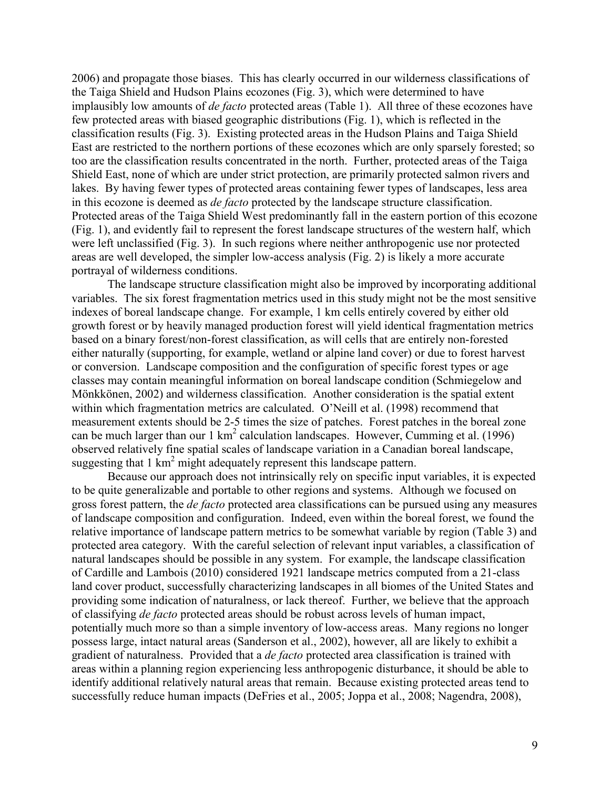2006) and propagate those biases. This has clearly occurred in our wilderness classifications of the Taiga Shield and Hudson Plains ecozones (Fig. 3), which were determined to have implausibly low amounts of *de facto* protected areas (Table 1). All three of these ecozones have few protected areas with biased geographic distributions (Fig. 1), which is reflected in the classification results (Fig. 3). Existing protected areas in the Hudson Plains and Taiga Shield East are restricted to the northern portions of these ecozones which are only sparsely forested; so too are the classification results concentrated in the north. Further, protected areas of the Taiga Shield East, none of which are under strict protection, are primarily protected salmon rivers and lakes. By having fewer types of protected areas containing fewer types of landscapes, less area in this ecozone is deemed as *de facto* protected by the landscape structure classification. Protected areas of the Taiga Shield West predominantly fall in the eastern portion of this ecozone (Fig. 1), and evidently fail to represent the forest landscape structures of the western half, which were left unclassified (Fig. 3). In such regions where neither anthropogenic use nor protected areas are well developed, the simpler low-access analysis (Fig. 2) is likely a more accurate portrayal of wilderness conditions.

The landscape structure classification might also be improved by incorporating additional variables. The six forest fragmentation metrics used in this study might not be the most sensitive indexes of boreal landscape change. For example, 1 km cells entirely covered by either old growth forest or by heavily managed production forest will yield identical fragmentation metrics based on a binary forest/non-forest classification, as will cells that are entirely non-forested either naturally (supporting, for example, wetland or alpine land cover) or due to forest harvest or conversion. Landscape composition and the configuration of specific forest types or age classes may contain meaningful information on boreal landscape condition (Schmiegelow and Mönkkönen, 2002) and wilderness classification. Another consideration is the spatial extent within which fragmentation metrics are calculated. O'Neill et al. (1998) recommend that measurement extents should be 2-5 times the size of patches. Forest patches in the boreal zone can be much larger than our  $1 \text{ km}^2$  calculation landscapes. However, Cumming et al. (1996) observed relatively fine spatial scales of landscape variation in a Canadian boreal landscape, suggesting that  $1 \text{ km}^2$  might adequately represent this landscape pattern.

Because our approach does not intrinsically rely on specific input variables, it is expected to be quite generalizable and portable to other regions and systems. Although we focused on gross forest pattern, the *de facto* protected area classifications can be pursued using any measures of landscape composition and configuration. Indeed, even within the boreal forest, we found the relative importance of landscape pattern metrics to be somewhat variable by region (Table 3) and protected area category. With the careful selection of relevant input variables, a classification of natural landscapes should be possible in any system. For example, the landscape classification of Cardille and Lambois (2010) considered 1921 landscape metrics computed from a 21-class land cover product, successfully characterizing landscapes in all biomes of the United States and providing some indication of naturalness, or lack thereof. Further, we believe that the approach of classifying *de facto* protected areas should be robust across levels of human impact. potentially much more so than a simple inventory of low-access areas. Many regions no longer possess large, intact natural areas (Sanderson et al., 2002), however, all are likely to exhibit a gradient of naturalness. Provided that a *de facto* protected area classification is trained with areas within a planning region experiencing less anthropogenic disturbance, it should be able to identify additional relatively natural areas that remain. Because existing protected areas tend to successfully reduce human impacts (DeFries et al., 2005; Joppa et al., 2008; Nagendra, 2008),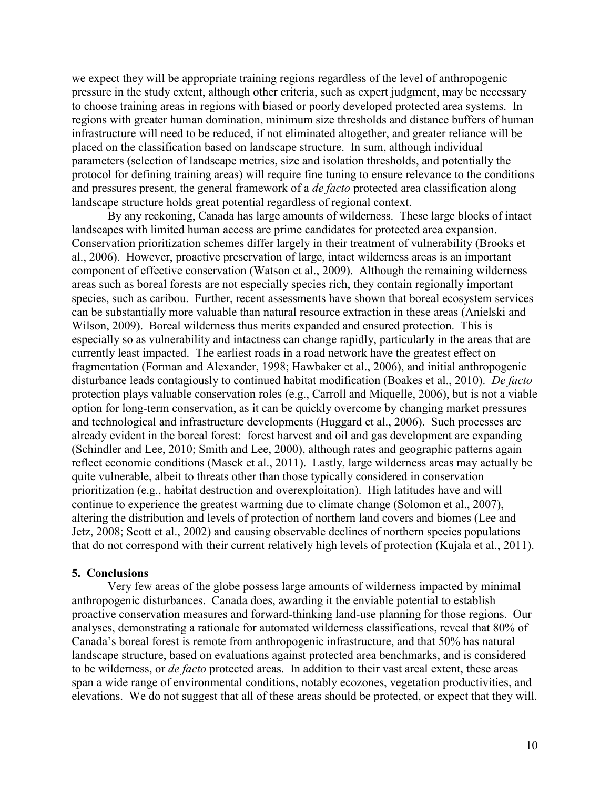we expect they will be appropriate training regions regardless of the level of anthropogenic pressure in the study extent, although other criteria, such as expert judgment, may be necessary to choose training areas in regions with biased or poorly developed protected area systems. In regions with greater human domination, minimum size thresholds and distance buffers of human infrastructure will need to be reduced, if not eliminated altogether, and greater reliance will be placed on the classification based on landscape structure. In sum, although individual parameters (selection of landscape metrics, size and isolation thresholds, and potentially the protocol for defining training areas) will require fine tuning to ensure relevance to the conditions and pressures present, the general framework of a *de facto* protected area classification along landscape structure holds great potential regardless of regional context.

By any reckoning, Canada has large amounts of wilderness. These large blocks of intact landscapes with limited human access are prime candidates for protected area expansion. Conservation prioritization schemes differ largely in their treatment of vulnerability (Brooks et al., 2006). However, proactive preservation of large, intact wilderness areas is an important component of effective conservation (Watson et al., 2009). Although the remaining wilderness areas such as boreal forests are not especially species rich, they contain regionally important species, such as caribou. Further, recent assessments have shown that boreal ecosystem services can be substantially more valuable than natural resource extraction in these areas (Anielski and Wilson, 2009). Boreal wilderness thus merits expanded and ensured protection. This is especially so as vulnerability and intactness can change rapidly, particularly in the areas that are currently least impacted. The earliest roads in a road network have the greatest effect on fragmentation (Forman and Alexander, 1998; Hawbaker et al., 2006), and initial anthropogenic disturbance leads contagiously to continued habitat modification (Boakes et al., 2010). De facto protection plays valuable conservation roles (e.g., Carroll and Miquelle, 2006), but is not a viable option for long-term conservation, as it can be quickly overcome by changing market pressures and technological and infrastructure developments (Huggard et al., 2006). Such processes are already evident in the boreal forest: forest harvest and oil and gas development are expanding (Schindler and Lee, 2010; Smith and Lee, 2000), although rates and geographic patterns again reflect economic conditions (Masek et al., 2011). Lastly, large wilderness areas may actually be quite vulnerable, albeit to threats other than those typically considered in conservation prioritization (e.g., habitat destruction and overexploitation). High latitudes have and will continue to experience the greatest warming due to climate change (Solomon et al., 2007), altering the distribution and levels of protection of northern land covers and biomes (Lee and Jetz, 2008; Scott et al., 2002) and causing observable declines of northern species populations that do not correspond with their current relatively high levels of protection (Kujala et al., 2011).

#### 5. Conclusions

Very few areas of the globe possess large amounts of wilderness impacted by minimal anthropogenic disturbances. Canada does, awarding it the enviable potential to establish proactive conservation measures and forward-thinking land-use planning for those regions. Our analyses, demonstrating a rationale for automated wilderness classifications, reveal that 80% of Canada's boreal forest is remote from anthropogenic infrastructure, and that 50% has natural landscape structure, based on evaluations against protected area benchmarks, and is considered to be wilderness, or *de facto* protected areas. In addition to their vast areal extent, these areas span a wide range of environmental conditions, notably ecozones, vegetation productivities, and elevations. We do not suggest that all of these areas should be protected, or expect that they will.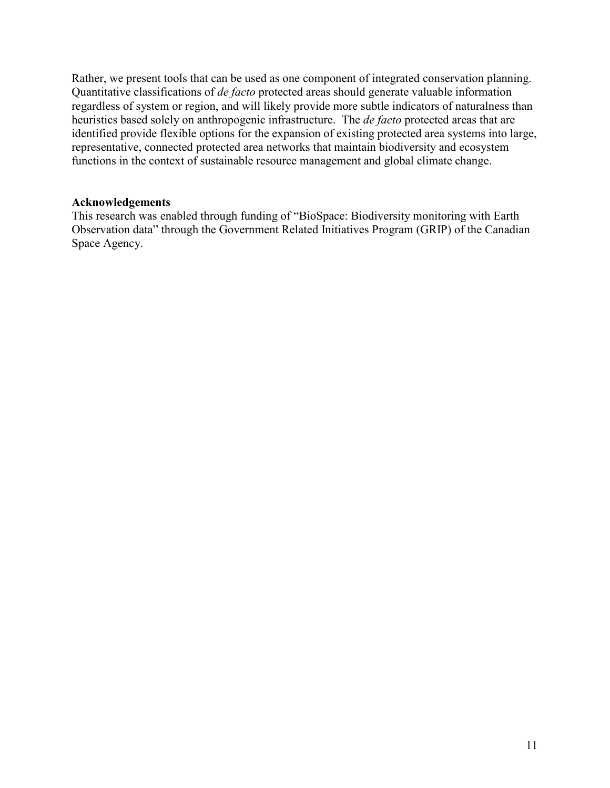Rather, we present tools that can be used as one component of integrated conservation planning. Quantitative classifications of *de facto* protected areas should generate valuable information regardless of system or region, and will likely provide more subtle indicators of naturalness than heuristics based solely on anthropogenic infrastructure. The *de facto* protected areas that are identified provide flexible options for the expansion of existing protected area systems into large, representative, connected protected area networks that maintain biodiversity and ecosystem functions in the context of sustainable resource management and global climate change.

## **Acknowledgements**

This research was enabled through funding of "BioSpace: Biodiversity monitoring with Earth Observation data" through the Government Related Initiatives Program (GRIP) of the Canadian Space Agency.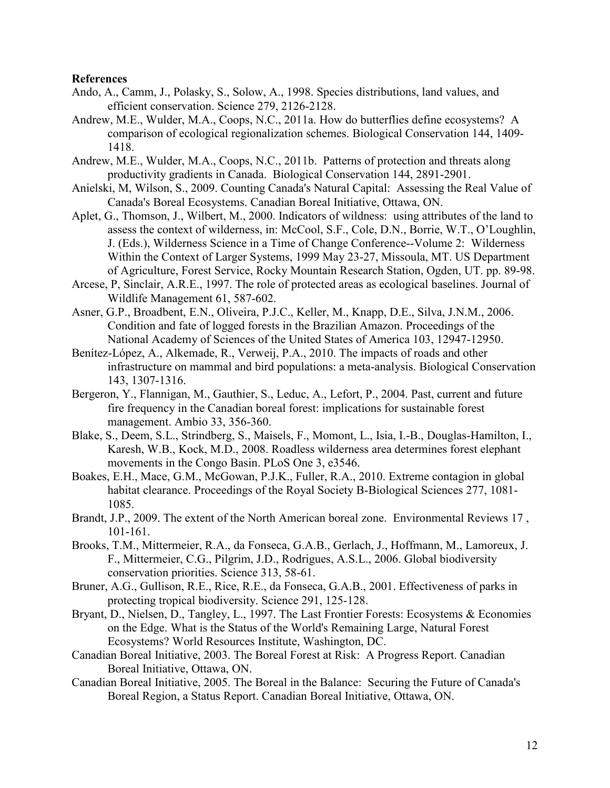#### **References**

- Ando, A., Camm, J., Polasky, S., Solow, A., 1998. Species distributions, land values, and efficient conservation. Science 279, 2126-2128.
- Andrew, M.E., Wulder, M.A., Coops, N.C., 2011a. How do butterflies define ecosystems? A comparison of ecological regionalization schemes. Biological Conservation 144, 1409-1418.
- Andrew, M.E., Wulder, M.A., Coops, N.C., 2011b. Patterns of protection and threats along productivity gradients in Canada. Biological Conservation 144, 2891-2901.
- Anielski, M. Wilson, S., 2009. Counting Canada's Natural Capital: Assessing the Real Value of Canada's Boreal Ecosystems. Canadian Boreal Initiative, Ottawa, ON.
- Aplet, G., Thomson, J., Wilbert, M., 2000. Indicators of wildness: using attributes of the land to assess the context of wilderness, in: McCool, S.F., Cole, D.N., Borrie, W.T., O'Loughlin, J. (Eds.), Wilderness Science in a Time of Change Conference--Volume 2: Wilderness Within the Context of Larger Systems, 1999 May 23-27, Missoula, MT. US Department of Agriculture, Forest Service, Rocky Mountain Research Station, Ogden, UT. pp. 89-98.
- Arcese, P, Sinclair, A.R.E., 1997. The role of protected areas as ecological baselines. Journal of Wildlife Management 61, 587-602.
- Asner, G.P., Broadbent, E.N., Oliveira, P.J.C., Keller, M., Knapp, D.E., Silva, J.N.M., 2006. Condition and fate of logged forests in the Brazilian Amazon. Proceedings of the National Academy of Sciences of the United States of America 103, 12947-12950.
- Benitez-López, A., Alkemade, R., Verweij, P.A., 2010. The impacts of roads and other infrastructure on mammal and bird populations: a meta-analysis. Biological Conservation 143, 1307-1316.
- Bergeron, Y., Flannigan, M., Gauthier, S., Leduc, A., Lefort, P., 2004. Past, current and future fire frequency in the Canadian boreal forest: implications for sustainable forest management. Ambio 33, 356-360.
- Blake, S., Deem, S.L., Strindberg, S., Maisels, F., Momont, L., Isia, I.-B., Douglas-Hamilton, I., Karesh, W.B., Kock, M.D., 2008. Roadless wilderness area determines forest elephant movements in the Congo Basin. PLoS One 3, e3546.
- Boakes, E.H., Mace, G.M., McGowan, P.J.K., Fuller, R.A., 2010. Extreme contagion in global habitat clearance. Proceedings of the Royal Society B-Biological Sciences 277, 1081-1085.
- Brandt, J.P., 2009. The extent of the North American boreal zone. Environmental Reviews 17,  $101 - 161$ .
- Brooks, T.M., Mittermeier, R.A., da Fonseca, G.A.B., Gerlach, J., Hoffmann, M., Lamoreux, J. F., Mittermeier, C.G., Pilgrim, J.D., Rodrigues, A.S.L., 2006. Global biodiversity conservation priorities. Science 313, 58-61.
- Bruner, A.G., Gullison, R.E., Rice, R.E., da Fonseca, G.A.B., 2001. Effectiveness of parks in protecting tropical biodiversity. Science 291, 125-128.
- Bryant, D., Nielsen, D., Tangley, L., 1997. The Last Frontier Forests: Ecosystems & Economies on the Edge. What is the Status of the World's Remaining Large, Natural Forest Ecosystems? World Resources Institute, Washington, DC.
- Canadian Boreal Initiative, 2003. The Boreal Forest at Risk: A Progress Report. Canadian Boreal Initiative, Ottawa, ON.
- Canadian Boreal Initiative, 2005. The Boreal in the Balance: Securing the Future of Canada's Boreal Region, a Status Report. Canadian Boreal Initiative, Ottawa, ON.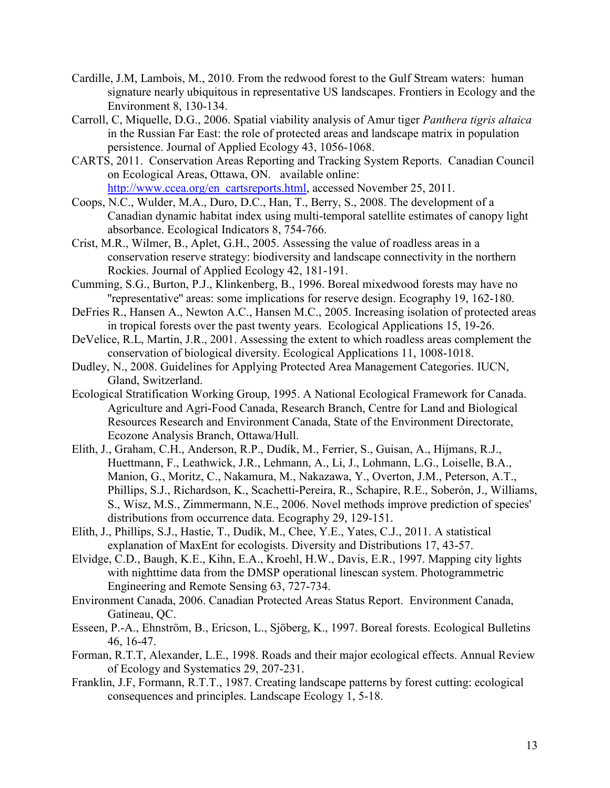- Cardille, J.M. Lambois, M., 2010. From the redwood forest to the Gulf Stream waters: human signature nearly ubiquitous in representative US landscapes. Frontiers in Ecology and the Environment 8, 130-134.
- Carroll, C, Miquelle, D.G., 2006. Spatial viability analysis of Amur tiger *Panthera tigris altaica* in the Russian Far East: the role of protected areas and landscape matrix in population persistence. Journal of Applied Ecology 43, 1056-1068.
- CARTS, 2011. Conservation Areas Reporting and Tracking System Reports. Canadian Council on Ecological Areas, Ottawa, ON. available online: http://www.ccea.org/en\_cartsreports.html, accessed November 25, 2011.
- Coops, N.C., Wulder, M.A., Duro, D.C., Han, T., Berry, S., 2008. The development of a Canadian dynamic habitat index using multi-temporal satellite estimates of canopy light absorbance. Ecological Indicators 8, 754-766.
- Crist, M.R., Wilmer, B., Aplet, G.H., 2005. Assessing the value of roadless areas in a conservation reserve strategy: biodiversity and landscape connectivity in the northern Rockies. Journal of Applied Ecology 42, 181-191.
- Cumming, S.G., Burton, P.J., Klinkenberg, B., 1996. Boreal mixedwood forests may have no "representative" areas: some implications for reserve design. Ecography 19, 162-180.
- DeFries R., Hansen A., Newton A.C., Hansen M.C., 2005. Increasing isolation of protected areas in tropical forests over the past twenty years. Ecological Applications 15, 19-26.
- DeVelice, R.L. Martin, J.R., 2001. Assessing the extent to which roadless areas complement the conservation of biological diversity. Ecological Applications 11, 1008-1018.
- Dudley, N., 2008. Guidelines for Applying Protected Area Management Categories. IUCN, Gland, Switzerland.
- Ecological Stratification Working Group, 1995. A National Ecological Framework for Canada. Agriculture and Agri-Food Canada, Research Branch, Centre for Land and Biological Resources Research and Environment Canada, State of the Environment Directorate, Ecozone Analysis Branch, Ottawa/Hull.
- Elith, J., Graham, C.H., Anderson, R.P., Dudík, M., Ferrier, S., Guisan, A., Hijmans, R.J., Huettmann, F., Leathwick, J.R., Lehmann, A., Li, J., Lohmann, L.G., Loiselle, B.A., Manion, G., Moritz, C., Nakamura, M., Nakazawa, Y., Overton, J.M., Peterson, A.T., Phillips, S.J., Richardson, K., Scachetti-Pereira, R., Schapire, R.E., Soberón, J., Williams, S., Wisz, M.S., Zimmermann, N.E., 2006. Novel methods improve prediction of species' distributions from occurrence data. Ecography 29, 129-151.
- Elith, J., Phillips, S.J., Hastie, T., Dudík, M., Chee, Y.E., Yates, C.J., 2011. A statistical explanation of MaxEnt for ecologists. Diversity and Distributions 17, 43-57.
- Elvidge, C.D., Baugh, K.E., Kihn, E.A., Kroehl, H.W., Davis, E.R., 1997. Mapping city lights with nighttime data from the DMSP operational linescan system. Photogrammetric Engineering and Remote Sensing 63, 727-734.
- Environment Canada, 2006. Canadian Protected Areas Status Report. Environment Canada, Gatineau, OC.
- Esseen, P.-A., Ehnström, B., Ericson, L., Sjöberg, K., 1997. Boreal forests. Ecological Bulletins 46, 16-47.
- Forman, R.T.T, Alexander, L.E., 1998. Roads and their major ecological effects. Annual Review of Ecology and Systematics 29, 207-231.
- Franklin, J.F, Formann, R.T.T., 1987. Creating landscape patterns by forest cutting: ecological consequences and principles. Landscape Ecology 1, 5-18.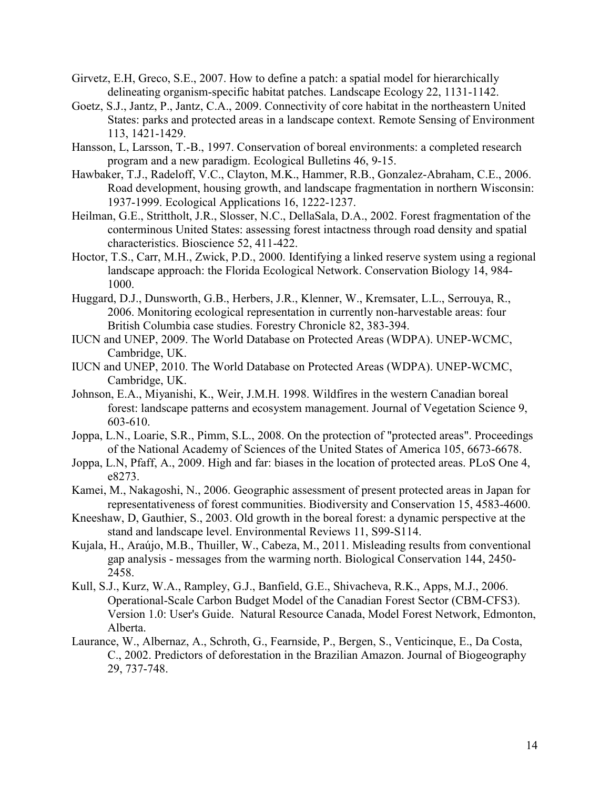- Girvetz, E.H. Greco, S.E., 2007. How to define a patch: a spatial model for hierarchically delineating organism-specific habitat patches. Landscape Ecology 22, 1131-1142.
- Goetz, S.J., Jantz, P., Jantz, C.A., 2009. Connectivity of core habitat in the northeastern United States: parks and protected areas in a landscape context. Remote Sensing of Environment 113, 1421-1429.
- Hansson, L. Larsson, T.-B., 1997. Conservation of boreal environments: a completed research program and a new paradigm. Ecological Bulletins 46, 9-15.
- Hawbaker, T.J., Radeloff, V.C., Clayton, M.K., Hammer, R.B., Gonzalez-Abraham, C.E., 2006. Road development, housing growth, and landscape fragmentation in northern Wisconsin: 1937-1999. Ecological Applications 16, 1222-1237.
- Heilman, G.E., Strittholt, J.R., Slosser, N.C., DellaSala, D.A., 2002. Forest fragmentation of the conterminous United States: assessing forest intactness through road density and spatial characteristics. Bioscience 52, 411-422.
- Hoctor, T.S., Carr, M.H., Zwick, P.D., 2000. Identifying a linked reserve system using a regional landscape approach: the Florida Ecological Network. Conservation Biology 14, 984-1000.
- Huggard, D.J., Dunsworth, G.B., Herbers, J.R., Klenner, W., Kremsater, L.L., Serrouya, R., 2006. Monitoring ecological representation in currently non-harvestable areas: four British Columbia case studies. Forestry Chronicle 82, 383-394.
- IUCN and UNEP, 2009. The World Database on Protected Areas (WDPA). UNEP-WCMC, Cambridge, UK.
- IUCN and UNEP, 2010. The World Database on Protected Areas (WDPA). UNEP-WCMC, Cambridge, UK.
- Johnson, E.A., Miyanishi, K., Weir, J.M.H. 1998. Wildfires in the western Canadian boreal forest: landscape patterns and ecosystem management. Journal of Vegetation Science 9, 603-610.
- Joppa, L.N., Loarie, S.R., Pimm, S.L., 2008. On the protection of "protected areas". Proceedings of the National Academy of Sciences of the United States of America 105, 6673-6678.
- Joppa, L.N. Pfaff, A., 2009. High and far: biases in the location of protected areas. PLoS One 4, e8273.
- Kamei, M., Nakagoshi, N., 2006. Geographic assessment of present protected areas in Japan for representativeness of forest communities. Biodiversity and Conservation 15, 4583-4600.
- Kneeshaw, D, Gauthier, S., 2003. Old growth in the boreal forest: a dynamic perspective at the stand and landscape level. Environmental Reviews 11, S99-S114.
- Kujala, H., Araújo, M.B., Thuiller, W., Cabeza, M., 2011. Misleading results from conventional gap analysis - messages from the warming north. Biological Conservation 144, 2450-2458.
- Kull, S.J., Kurz, W.A., Rampley, G.J., Banfield, G.E., Shivacheva, R.K., Apps, M.J., 2006. Operational-Scale Carbon Budget Model of the Canadian Forest Sector (CBM-CFS3). Version 1.0: User's Guide. Natural Resource Canada, Model Forest Network, Edmonton, Alberta.
- Laurance, W., Albernaz, A., Schroth, G., Fearnside, P., Bergen, S., Venticingue, E., Da Costa, C., 2002. Predictors of deforestation in the Brazilian Amazon. Journal of Biogeography 29, 737-748.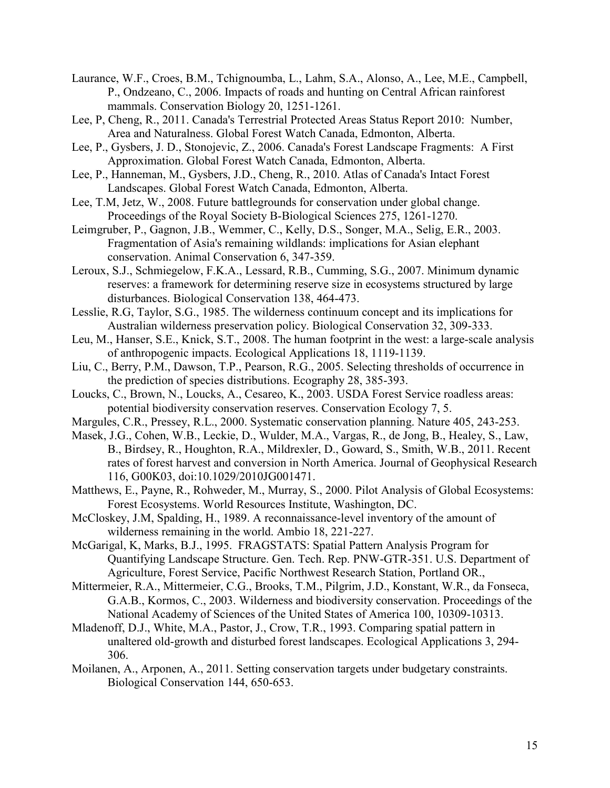- Laurance, W.F., Croes, B.M., Tchignoumba, L., Lahm, S.A., Alonso, A., Lee, M.E., Campbell, P., Ondzeano, C., 2006. Impacts of roads and hunting on Central African rainforest mammals. Conservation Biology 20, 1251-1261.
- Lee, P, Cheng, R., 2011. Canada's Terrestrial Protected Areas Status Report 2010: Number, Area and Naturalness. Global Forest Watch Canada, Edmonton, Alberta.
- Lee, P., Gysbers, J. D., Stonojevic, Z., 2006. Canada's Forest Landscape Fragments: A First Approximation. Global Forest Watch Canada, Edmonton, Alberta.
- Lee, P., Hanneman, M., Gysbers, J.D., Cheng, R., 2010. Atlas of Canada's Intact Forest Landscapes. Global Forest Watch Canada, Edmonton, Alberta.
- Lee, T.M. Jetz, W., 2008. Future battlegrounds for conservation under global change. Proceedings of the Royal Society B-Biological Sciences 275, 1261-1270.
- Leimgruber, P., Gagnon, J.B., Wemmer, C., Kelly, D.S., Songer, M.A., Selig, E.R., 2003. Fragmentation of Asia's remaining wildlands: implications for Asian elephant conservation. Animal Conservation 6, 347-359.
- Leroux, S.J., Schmiegelow, F.K.A., Lessard, R.B., Cumming, S.G., 2007. Minimum dynamic reserves: a framework for determining reserve size in ecosystems structured by large disturbances. Biological Conservation 138, 464-473.
- Lesslie, R.G. Taylor, S.G., 1985. The wilderness continuum concept and its implications for Australian wilderness preservation policy. Biological Conservation 32, 309-333.
- Leu, M., Hanser, S.E., Knick, S.T., 2008. The human footprint in the west: a large-scale analysis of anthropogenic impacts. Ecological Applications 18, 1119-1139.
- Liu, C., Berry, P.M., Dawson, T.P., Pearson, R.G., 2005. Selecting thresholds of occurrence in the prediction of species distributions. Ecography 28, 385-393.
- Loucks, C., Brown, N., Loucks, A., Cesareo, K., 2003. USDA Forest Service roadless areas: potential biodiversity conservation reserves. Conservation Ecology 7, 5.
- Margules, C.R., Pressey, R.L., 2000. Systematic conservation planning. Nature 405, 243-253.
- Masek, J.G., Cohen, W.B., Leckie, D., Wulder, M.A., Vargas, R., de Jong, B., Healey, S., Law, B., Birdsey, R., Houghton, R.A., Mildrexler, D., Goward, S., Smith, W.B., 2011. Recent rates of forest harvest and conversion in North America. Journal of Geophysical Research 116, G00K03, doi:10.1029/2010JG001471.
- Matthews, E., Payne, R., Rohweder, M., Murray, S., 2000. Pilot Analysis of Global Ecosystems: Forest Ecosystems. World Resources Institute, Washington, DC.
- McCloskey, J.M, Spalding, H., 1989. A reconnaissance-level inventory of the amount of wilderness remaining in the world. Ambio 18, 221-227.
- McGarigal, K, Marks, B.J., 1995. FRAGSTATS: Spatial Pattern Analysis Program for Quantifying Landscape Structure. Gen. Tech. Rep. PNW-GTR-351, U.S. Department of Agriculture, Forest Service, Pacific Northwest Research Station, Portland OR.,
- Mittermeier, R.A., Mittermeier, C.G., Brooks, T.M., Pilgrim, J.D., Konstant, W.R., da Fonseca, G.A.B., Kormos, C., 2003. Wilderness and biodiversity conservation. Proceedings of the National Academy of Sciences of the United States of America 100, 10309-10313.
- Mladenoff, D.J., White, M.A., Pastor, J., Crow, T.R., 1993. Comparing spatial pattern in unaltered old-growth and disturbed forest landscapes. Ecological Applications 3, 294-306.
- Moilanen, A., Arponen, A., 2011. Setting conservation targets under budgetary constraints. Biological Conservation 144, 650-653.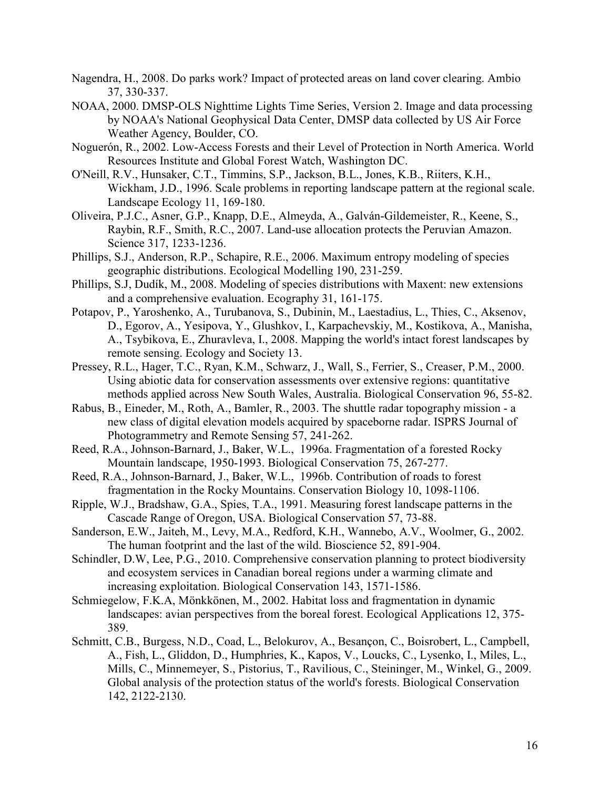- Nagendra, H., 2008. Do parks work? Impact of protected areas on land cover clearing. Ambio 37, 330-337.
- NOAA, 2000. DMSP-OLS Nighttime Lights Time Series, Version 2. Image and data processing by NOAA's National Geophysical Data Center, DMSP data collected by US Air Force Weather Agency, Boulder, CO.
- Noguerón, R., 2002. Low-Access Forests and their Level of Protection in North America. World Resources Institute and Global Forest Watch, Washington DC.
- O'Neill, R.V., Hunsaker, C.T., Timmins, S.P., Jackson, B.L., Jones, K.B., Riiters, K.H., Wickham, J.D., 1996. Scale problems in reporting landscape pattern at the regional scale. Landscape Ecology 11, 169-180.
- Oliveira, P.J.C., Asner, G.P., Knapp, D.E., Almeyda, A., Galván-Gildemeister, R., Keene, S., Raybin, R.F., Smith, R.C., 2007. Land-use allocation protects the Peruvian Amazon. Science 317, 1233-1236.
- Phillips, S.J., Anderson, R.P., Schapire, R.E., 2006. Maximum entropy modeling of species geographic distributions. Ecological Modelling 190, 231-259.
- Phillips, S.J. Dudík, M., 2008. Modeling of species distributions with Maxent: new extensions and a comprehensive evaluation. Ecography 31, 161-175.
- Potapov, P., Yaroshenko, A., Turubanova, S., Dubinin, M., Laestadius, L., Thies, C., Aksenov, D., Egorov, A., Yesipova, Y., Glushkov, I., Karpachevskiy, M., Kostikova, A., Manisha, A., Tsybikova, E., Zhuravleva, I., 2008. Mapping the world's intact forest landscapes by remote sensing. Ecology and Society 13.
- Pressey, R.L., Hager, T.C., Ryan, K.M., Schwarz, J., Wall, S., Ferrier, S., Creaser, P.M., 2000. Using abiotic data for conservation assessments over extensive regions: quantitative methods applied across New South Wales, Australia. Biological Conservation 96, 55-82.
- Rabus, B., Eineder, M., Roth, A., Bamler, R., 2003. The shuttle radar topography mission a new class of digital elevation models acquired by spaceborne radar. ISPRS Journal of Photogrammetry and Remote Sensing 57, 241-262.
- Reed, R.A., Johnson-Barnard, J., Baker, W.L., 1996a. Fragmentation of a forested Rocky Mountain landscape, 1950-1993. Biological Conservation 75, 267-277.
- Reed, R.A., Johnson-Barnard, J., Baker, W.L., 1996b. Contribution of roads to forest fragmentation in the Rocky Mountains. Conservation Biology 10, 1098-1106.
- Ripple, W.J., Bradshaw, G.A., Spies, T.A., 1991. Measuring forest landscape patterns in the Cascade Range of Oregon, USA. Biological Conservation 57, 73-88.
- Sanderson, E.W., Jaiteh, M., Levy, M.A., Redford, K.H., Wannebo, A.V., Woolmer, G., 2002. The human footprint and the last of the wild. Bioscience 52, 891-904.
- Schindler, D.W. Lee, P.G., 2010. Comprehensive conservation planning to protect biodiversity and ecosystem services in Canadian boreal regions under a warming climate and increasing exploitation. Biological Conservation 143, 1571-1586.
- Schmiegelow, F.K.A, Mönkkönen, M., 2002. Habitat loss and fragmentation in dynamic landscapes: avian perspectives from the boreal forest. Ecological Applications 12, 375-389.
- Schmitt, C.B., Burgess, N.D., Coad, L., Belokurov, A., Besançon, C., Boisrobert, L., Campbell, A., Fish, L., Gliddon, D., Humphries, K., Kapos, V., Loucks, C., Lysenko, I., Miles, L., Mills, C., Minnemeyer, S., Pistorius, T., Ravilious, C., Steininger, M., Winkel, G., 2009. Global analysis of the protection status of the world's forests. Biological Conservation 142, 2122-2130.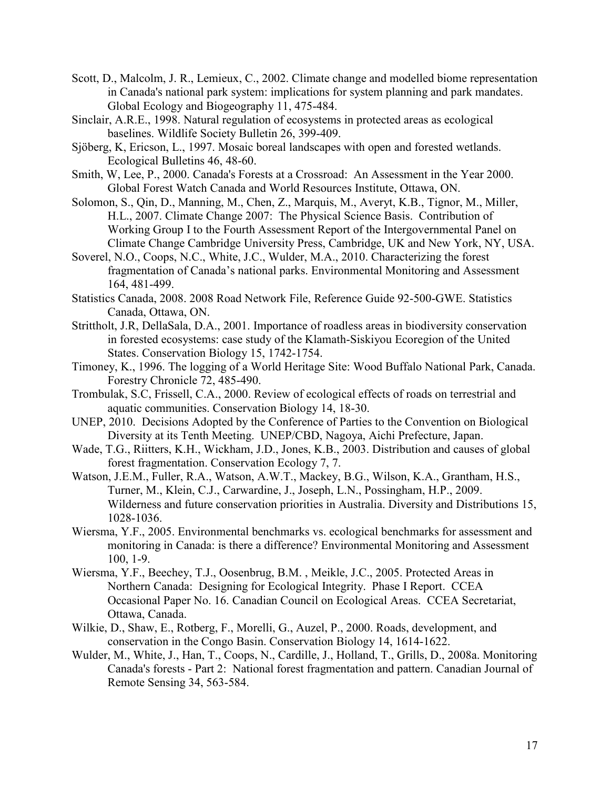- Scott, D., Malcolm, J. R., Lemieux, C., 2002. Climate change and modelled biome representation in Canada's national park system: implications for system planning and park mandates. Global Ecology and Biogeography 11, 475-484.
- Sinclair, A.R.E., 1998. Natural regulation of ecosystems in protected areas as ecological baselines. Wildlife Society Bulletin 26, 399-409.
- Sjöberg, K, Ericson, L., 1997. Mosaic boreal landscapes with open and forested wetlands. Ecological Bulletins 46, 48-60.
- Smith, W, Lee, P., 2000. Canada's Forests at a Crossroad: An Assessment in the Year 2000. Global Forest Watch Canada and World Resources Institute, Ottawa, ON.
- Solomon, S., Qin, D., Manning, M., Chen, Z., Marquis, M., Averyt, K.B., Tignor, M., Miller, H.L., 2007. Climate Change 2007: The Physical Science Basis. Contribution of Working Group I to the Fourth Assessment Report of the Intergovernmental Panel on Climate Change Cambridge University Press, Cambridge, UK and New York, NY, USA.
- Soverel, N.O., Coops, N.C., White, J.C., Wulder, M.A., 2010. Characterizing the forest fragmentation of Canada's national parks. Environmental Monitoring and Assessment 164, 481-499.
- Statistics Canada, 2008. 2008 Road Network File, Reference Guide 92-500-GWE. Statistics Canada, Ottawa, ON.
- Strittholt, J.R. DellaSala, D.A., 2001. Importance of roadless areas in biodiversity conservation in forested ecosystems: case study of the Klamath-Siskiyou Ecoregion of the United States. Conservation Biology 15, 1742-1754.
- Timoney, K., 1996. The logging of a World Heritage Site: Wood Buffalo National Park, Canada. Forestry Chronicle 72, 485-490.
- Trombulak, S.C, Frissell, C.A., 2000. Review of ecological effects of roads on terrestrial and aquatic communities. Conservation Biology 14, 18-30.
- UNEP, 2010. Decisions Adopted by the Conference of Parties to the Convention on Biological Diversity at its Tenth Meeting. UNEP/CBD, Nagoya, Aichi Prefecture, Japan.
- Wade, T.G., Riitters, K.H., Wickham, J.D., Jones, K.B., 2003. Distribution and causes of global forest fragmentation. Conservation Ecology 7, 7.
- Watson, J.E.M., Fuller, R.A., Watson, A.W.T., Mackey, B.G., Wilson, K.A., Grantham, H.S., Turner, M., Klein, C.J., Carwardine, J., Joseph, L.N., Possingham, H.P., 2009. Wilderness and future conservation priorities in Australia. Diversity and Distributions 15, 1028-1036.
- Wiersma, Y.F., 2005. Environmental benchmarks vs. ecological benchmarks for assessment and monitoring in Canada: is there a difference? Environmental Monitoring and Assessment  $100, 1-9.$
- Wiersma, Y.F., Beechey, T.J., Oosenbrug, B.M., Meikle, J.C., 2005. Protected Areas in Northern Canada: Designing for Ecological Integrity. Phase I Report. CCEA Occasional Paper No. 16. Canadian Council on Ecological Areas. CCEA Secretariat, Ottawa, Canada.
- Wilkie, D., Shaw, E., Rotberg, F., Morelli, G., Auzel, P., 2000. Roads, development, and conservation in the Congo Basin. Conservation Biology 14, 1614-1622.
- Wulder, M., White, J., Han, T., Coops, N., Cardille, J., Holland, T., Grills, D., 2008a. Monitoring Canada's forests - Part 2: National forest fragmentation and pattern. Canadian Journal of Remote Sensing 34, 563-584.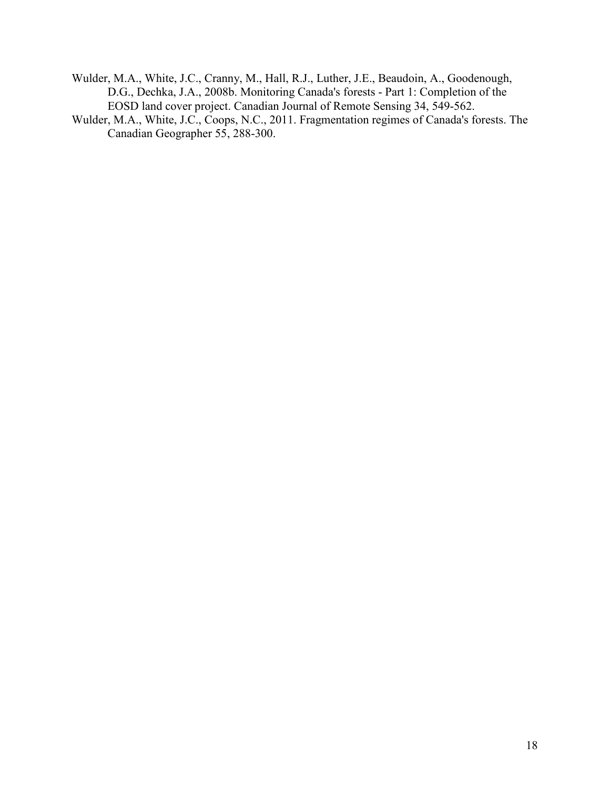- Wulder, M.A., White, J.C., Cranny, M., Hall, R.J., Luther, J.E., Beaudoin, A., Goodenough, D.G., Dechka, J.A., 2008b. Monitoring Canada's forests - Part 1: Completion of the EOSD land cover project. Canadian Journal of Remote Sensing 34, 549-562.
- Wulder, M.A., White, J.C., Coops, N.C., 2011. Fragmentation regimes of Canada's forests. The Canadian Geographer 55, 288-300.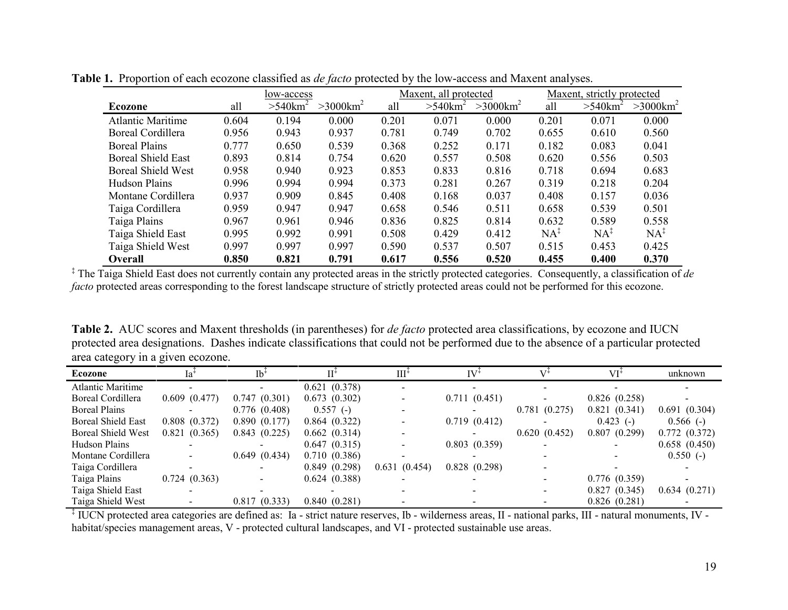|                           |       | low-access             |                         |       | Maxent, all protected  |                         | Maxent, strictly protected |                        |                         |  |
|---------------------------|-------|------------------------|-------------------------|-------|------------------------|-------------------------|----------------------------|------------------------|-------------------------|--|
| Ecozone                   | all   | $>540$ km <sup>2</sup> | $>3000$ km <sup>2</sup> | all   | $>540$ km <sup>2</sup> | $>3000$ km <sup>2</sup> | all                        | $>540$ km <sup>2</sup> | $>3000$ km <sup>2</sup> |  |
| <b>Atlantic Maritime</b>  | 0.604 | 0.194                  | 0.000                   | 0.201 | 0.071                  | 0.000                   | 0.201                      | 0.071                  | 0.000                   |  |
| <b>Boreal Cordillera</b>  | 0.956 | 0.943                  | 0.937                   | 0.781 | 0.749                  | 0.702                   | 0.655                      | 0.610                  | 0.560                   |  |
| <b>Boreal Plains</b>      | 0.777 | 0.650                  | 0.539                   | 0.368 | 0.252                  | 0.171                   | 0.182                      | 0.083                  | 0.041                   |  |
| <b>Boreal Shield East</b> | 0.893 | 0.814                  | 0.754                   | 0.620 | 0.557                  | 0.508                   | 0.620                      | 0.556                  | 0.503                   |  |
| <b>Boreal Shield West</b> | 0.958 | 0.940                  | 0.923                   | 0.853 | 0.833                  | 0.816                   | 0.718                      | 0.694                  | 0.683                   |  |
| <b>Hudson Plains</b>      | 0.996 | 0.994                  | 0.994                   | 0.373 | 0.281                  | 0.267                   | 0.319                      | 0.218                  | 0.204                   |  |
| Montane Cordillera        | 0.937 | 0.909                  | 0.845                   | 0.408 | 0.168                  | 0.037                   | 0.408                      | 0.157                  | 0.036                   |  |
| Taiga Cordillera          | 0.959 | 0.947                  | 0.947                   | 0.658 | 0.546                  | 0.511                   | 0.658                      | 0.539                  | 0.501                   |  |
| Taiga Plains              | 0.967 | 0.961                  | 0.946                   | 0.836 | 0.825                  | 0.814                   | 0.632                      | 0.589                  | 0.558                   |  |
| Taiga Shield East         | 0.995 | 0.992                  | 0.991                   | 0.508 | 0.429                  | 0.412                   | NA <sup>T</sup>            | NA <sup>T</sup>        | NA <sup>T</sup>         |  |
| Taiga Shield West         | 0.997 | 0.997                  | 0.997                   | 0.590 | 0.537                  | 0.507                   | 0.515                      | 0.453                  | 0.425                   |  |
| <b>Overall</b>            | 0.850 | 0.821                  | 0.791                   | 0.617 | 0.556                  | 0.520                   | 0.455                      | 0.400                  | 0.370                   |  |

Table 1. Proportion of each ecozone classified as *de facto* protected by the low-access and Maxent analyses.

<sup> $\ddagger$ </sup> The Taiga Shield East does not currently contain any protected areas in the strictly protected categories. Consequently, a classification of de *facto* protected areas corresponding to the forest landscape structure of strictly protected areas could not be performed for this ecozone.

Table 2. AUC scores and Maxent thresholds (in parentheses) for *de facto* protected area classifications, by ecozone and IUCN protected area designations. Dashes indicate classifications that could not be performed due to the absence of a particular protected area category in a given ecozone.

| Ecozone                   |              | $Ib^+$       |              | $III^*$      | $IV^+$       |              | $VI^*$       | unknown      |
|---------------------------|--------------|--------------|--------------|--------------|--------------|--------------|--------------|--------------|
| <b>Atlantic Maritime</b>  |              |              | 0.621(0.378) |              |              |              |              |              |
| Boreal Cordillera         | 0.609(0.477) | 0.747(0.301) | 0.673(0.302) |              | 0.711(0.451) |              | 0.826(0.258) |              |
| <b>Boreal Plains</b>      |              | 0.776(0.408) | $0.557$ (-)  |              |              | 0.781(0.275) | 0.821(0.341) | 0.691(0.304) |
| <b>Boreal Shield East</b> | 0.808(0.372) | 0.890(0.177) | 0.864(0.322) |              | 0.719(0.412) |              | $0.423$ (-)  | $0.566$ (-)  |
| <b>Boreal Shield West</b> | 0.821(0.365) | 0.843(0.225) | 0.662(0.314) |              |              | 0.620(0.452) | 0.807(0.299) | 0.772(0.372) |
| Hudson Plains             |              |              | 0.647(0.315) |              | 0.803(0.359) |              |              | 0.658(0.450) |
| Montane Cordillera        |              | 0.649(0.434) | 0.710(0.386) |              |              |              |              | $0.550(-)$   |
| Taiga Cordillera          |              |              | 0.849(0.298) | 0.631(0.454) | 0.828(0.298) |              |              |              |
| Taiga Plains              | 0.724(0.363) |              | 0.624(0.388) |              |              |              | 0.776(0.359) |              |
| Taiga Shield East         |              |              |              |              |              |              | 0.827(0.345) | 0.634(0.271) |
| Taiga Shield West         |              | 0.817(0.333) | 0.840(0.281) |              |              |              | 0.826(0.281) |              |

<sup>‡</sup> IUCN protected area categories are defined as: Ia - strict nature reserves, Ib - wilderness areas, II - national parks, III - natural monuments, IV habitat/species management areas, V - protected cultural landscapes, and VI - protected sustainable use areas.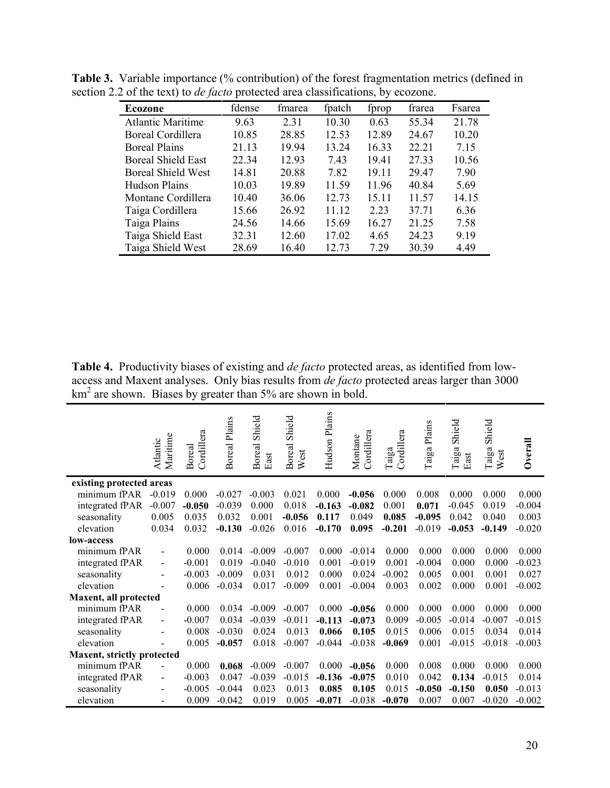| ◡                         | л.     |        |        |       |        |        |
|---------------------------|--------|--------|--------|-------|--------|--------|
| Ecozone                   | fdense | fmarea | fpatch | fprop | frarea | Fsarea |
| <b>Atlantic Maritime</b>  | 9.63   | 2.31   | 10.30  | 0.63  | 55.34  | 21.78  |
| Boreal Cordillera         | 10.85  | 28.85  | 12.53  | 12.89 | 24.67  | 10.20  |
| <b>Boreal Plains</b>      | 21.13  | 19.94  | 13.24  | 16.33 | 22 21  | 7 1 5  |
| <b>Boreal Shield East</b> | 22.34  | 12.93  | 7.43   | 19.41 | 27.33  | 10.56  |
| <b>Boreal Shield West</b> | 14.81  | 20.88  | 7.82   | 19.11 | 29.47  | 7.90   |
| <b>Hudson Plains</b>      | 10.03  | 19.89  | 11.59  | 11.96 | 40.84  | 5.69   |
| Montane Cordillera        | 10.40  | 36.06  | 12.73  | 15.11 | 11.57  | 14.15  |
| Taiga Cordillera          | 15.66  | 26.92  | 11 12  | 2.23  | 37.71  | 6.36   |
| Taiga Plains              | 24.56  | 14.66  | 15.69  | 16.27 | 21.25  | 7.58   |
| Taiga Shield East         | 32.31  | 12.60  | 17.02  | 4.65  | 24.23  | 9 1 9  |
| Taiga Shield West         | 28.69  | 16.40  | 12.73  | 7.29  | 30.39  | 4.49   |
|                           |        |        |        |       |        |        |

Table 3. Variable importance (% contribution) of the forest fragmentation metrics (defined in section 2.2 of the text) to *de facto* protected area classifications, by ecozone.

Table 4. Productivity biases of existing and *de facto* protected areas, as identified from lowaccess and Maxent analyses. Only bias results from *de facto* protected areas larger than 3000 km<sup>2</sup> are shown. Biases by greater than 5% are shown in bold.

|                                   | Maritime<br>Atlantic         | Cordillera<br><b>Boreal</b> | <b>Boreal Plains</b> | Shield<br><b>Boreal</b><br>East | Shield<br><b>Boreal</b><br>est<br>$\geq$ | Hudson Plains | Cordillera<br>Montane | Cordillera<br>Taiga | Plains<br>Taiga | Shield<br>Taiga<br>East | Shield<br>Taiga<br>est<br>$\geq$ | Overall  |
|-----------------------------------|------------------------------|-----------------------------|----------------------|---------------------------------|------------------------------------------|---------------|-----------------------|---------------------|-----------------|-------------------------|----------------------------------|----------|
| existing protected areas          |                              |                             |                      |                                 |                                          |               |                       |                     |                 |                         |                                  |          |
| minimum fPAR                      | $-0.019$                     | 0.000                       | $-0.027$             | $-0.003$                        | 0.021                                    | 0.000         | $-0.056$              | 0.000               | 0.008           | 0.000                   | 0.000                            | 0.000    |
| integrated fPAR                   | $-0.007$                     | $-0.050$                    | $-0.039$             | 0.000                           | 0.018                                    | $-0.163$      | $-0.082$              | 0.001               | 0.071           | $-0.045$                | 0.019                            | $-0.004$ |
| seasonality                       | 0.005                        | 0.035                       | 0.032                | 0.001                           | $-0.056$                                 | 0.117         | 0.049                 | 0.085               | $-0.095$        | 0.042                   | 0.040                            | 0.003    |
| elevation                         | 0.034                        | 0.032                       | $-0.130$             | $-0.026$                        | 0.016                                    | $-0.170$      | 0.095                 | $-0.201$            | $-0.019$        | $-0.053$                | $-0.149$                         | $-0.020$ |
| low-access                        |                              |                             |                      |                                 |                                          |               |                       |                     |                 |                         |                                  |          |
| minimum fPAR                      |                              | 0.000                       | 0.014                | $-0.009$                        | $-0.007$                                 | 0.000         | $-0.014$              | 0.000               | 0.000           | 0.000                   | 0.000                            | 0.000    |
| integrated fPAR                   | $\overline{\phantom{0}}$     | $-0.001$                    | 0.019                | $-0.040$                        | $-0.010$                                 | 0.001         | $-0.019$              | 0.001               | $-0.004$        | 0.000                   | 0.000                            | $-0.023$ |
| seasonality                       | $\qquad \qquad \blacksquare$ | $-0.003$                    | $-0.009$             | 0.031                           | 0.012                                    | 0.000         | 0.024                 | $-0.002$            | 0.005           | 0.001                   | 0.001                            | 0.027    |
| elevation                         |                              | 0.006                       | $-0.034$             | 0.017                           | $-0.009$                                 | 0.001         | $-0.004$              | 0.003               | 0.002           | 0.000                   | 0.001                            | $-0.002$ |
| Maxent, all protected             |                              |                             |                      |                                 |                                          |               |                       |                     |                 |                         |                                  |          |
| minimum fPAR                      |                              | 0.000                       | 0.034                | $-0.009$                        | $-0.007$                                 | 0.000         | $-0.056$              | 0.000               | 0.000           | 0.000                   | 0.000                            | 0.000    |
| integrated fPAR                   | ÷                            | $-0.007$                    | 0.034                | $-0.039$                        | $-0.011$                                 | $-0.113$      | $-0.073$              | 0.009               | $-0.005$        | $-0.014$                | $-0.007$                         | $-0.015$ |
| seasonality                       | $\blacksquare$               | 0.008                       | $-0.030$             | 0.024                           | 0.013                                    | 0.066         | 0.105                 | 0.015               | 0.006           | 0.015                   | 0.034                            | 0.014    |
| elevation                         |                              | 0.005                       | $-0.057$             | 0.018                           | $-0.007$                                 | $-0.044$      | $-0.038$              | $-0.069$            | 0.001           | $-0.015$                | $-0.018$                         | $-0.003$ |
| <b>Maxent, strictly protected</b> |                              |                             |                      |                                 |                                          |               |                       |                     |                 |                         |                                  |          |
| minimum fPAR                      |                              | 0.000                       | 0.068                | $-0.009$                        | $-0.007$                                 | 0.000         | $-0.056$              | 0.000               | 0.008           | 0.000                   | 0.000                            | 0.000    |
| integrated fPAR                   | $\overline{a}$               | $-0.003$                    | 0.047                | $-0.039$                        | $-0.015$                                 | $-0.136$      | $-0.075$              | 0.010               | 0.042           | 0.134                   | $-0.015$                         | 0.014    |
| seasonality                       | -                            | $-0.005$                    | $-0.044$             | 0.023                           | 0.013                                    | 0.085         | 0.105                 | 0.015               | $-0.050$        | $-0.150$                | 0.050                            | $-0.013$ |
| elevation                         |                              | 0.009                       | $-0.042$             | 0.019                           | 0.005                                    | $-0.071$      | $-0.038$              | $-0.070$            | 0.007           | 0.007                   | $-0.020$                         | $-0.002$ |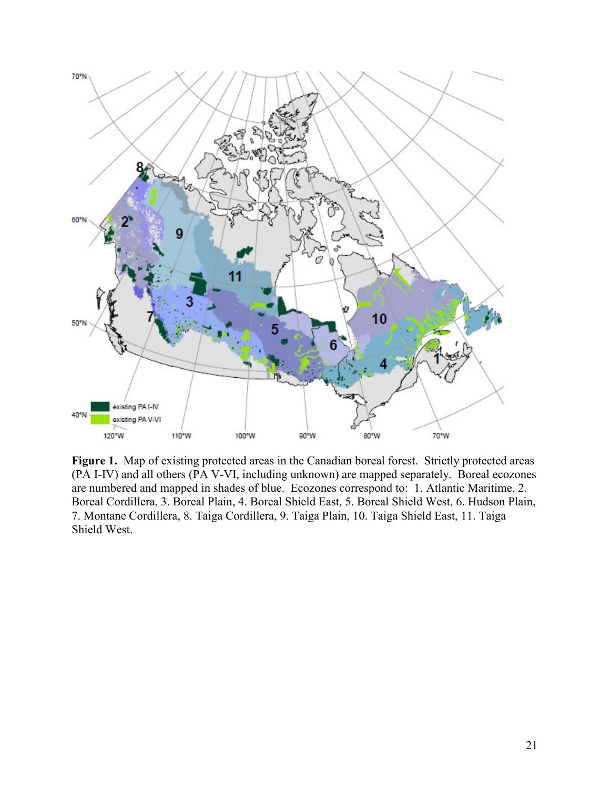

Figure 1. Map of existing protected areas in the Canadian boreal forest. Strictly protected areas (PA I-IV) and all others (PA V-VI, including unknown) are mapped separately. Boreal ecozones are numbered and mapped in shades of blue. Ecozones correspond to: 1. Atlantic Maritime, 2. Boreal Cordillera, 3. Boreal Plain, 4. Boreal Shield East, 5. Boreal Shield West, 6. Hudson Plain, 7. Montane Cordillera, 8. Taiga Cordillera, 9. Taiga Plain, 10. Taiga Shield East, 11. Taiga Shield West.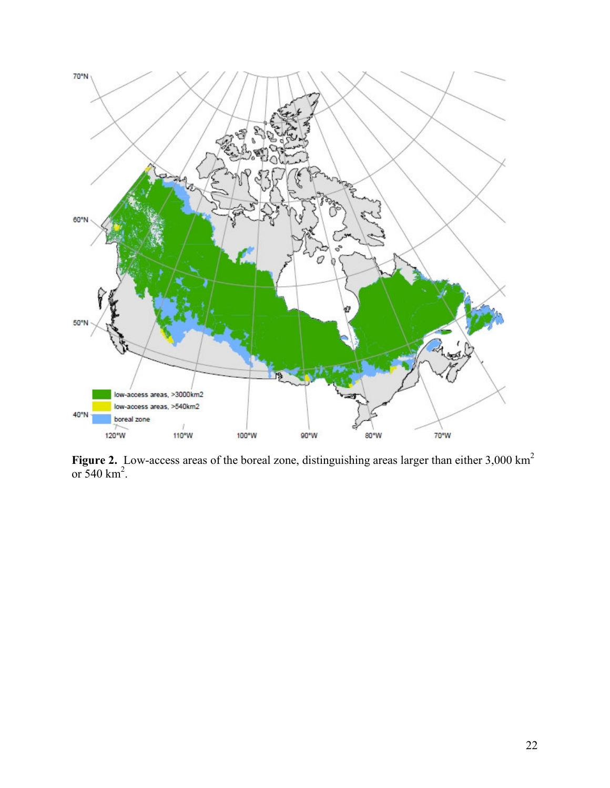

Figure 2. Low-access areas of the boreal zone, distinguishing areas larger than either  $3,000 \text{ km}^2$  or  $540 \text{ km}^2$ .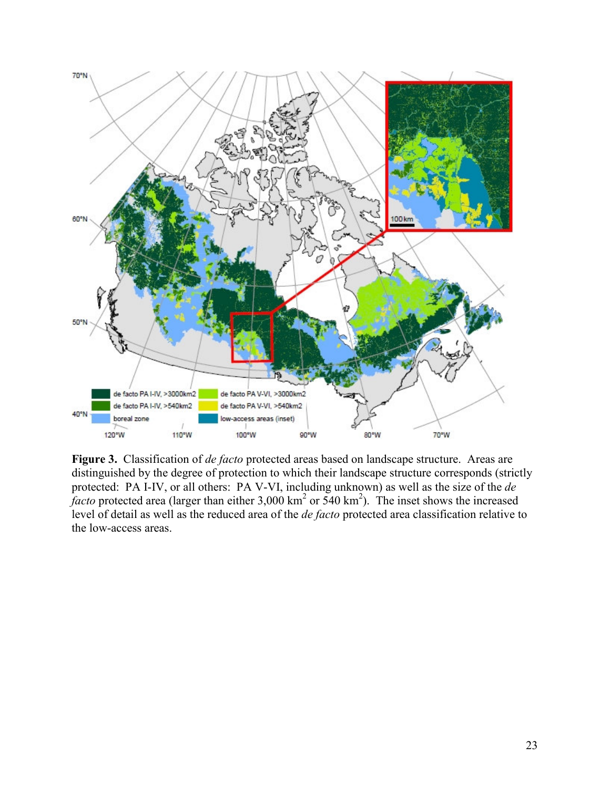

Figure 3. Classification of *de facto* protected areas based on landscape structure. Areas are distinguished by the degree of protection to which their landscape structure corresponds (strictly protected: PA I-IV, or all others: PA V-VI, including unknown) as well as the size of the de facto protected area (larger than either  $3,000 \text{ km}^2$  or  $540 \text{ km}^2$ ). The inset shows the increased level of detail as well as the reduced area of the *de facto* protected area classification relative to the low-access areas.